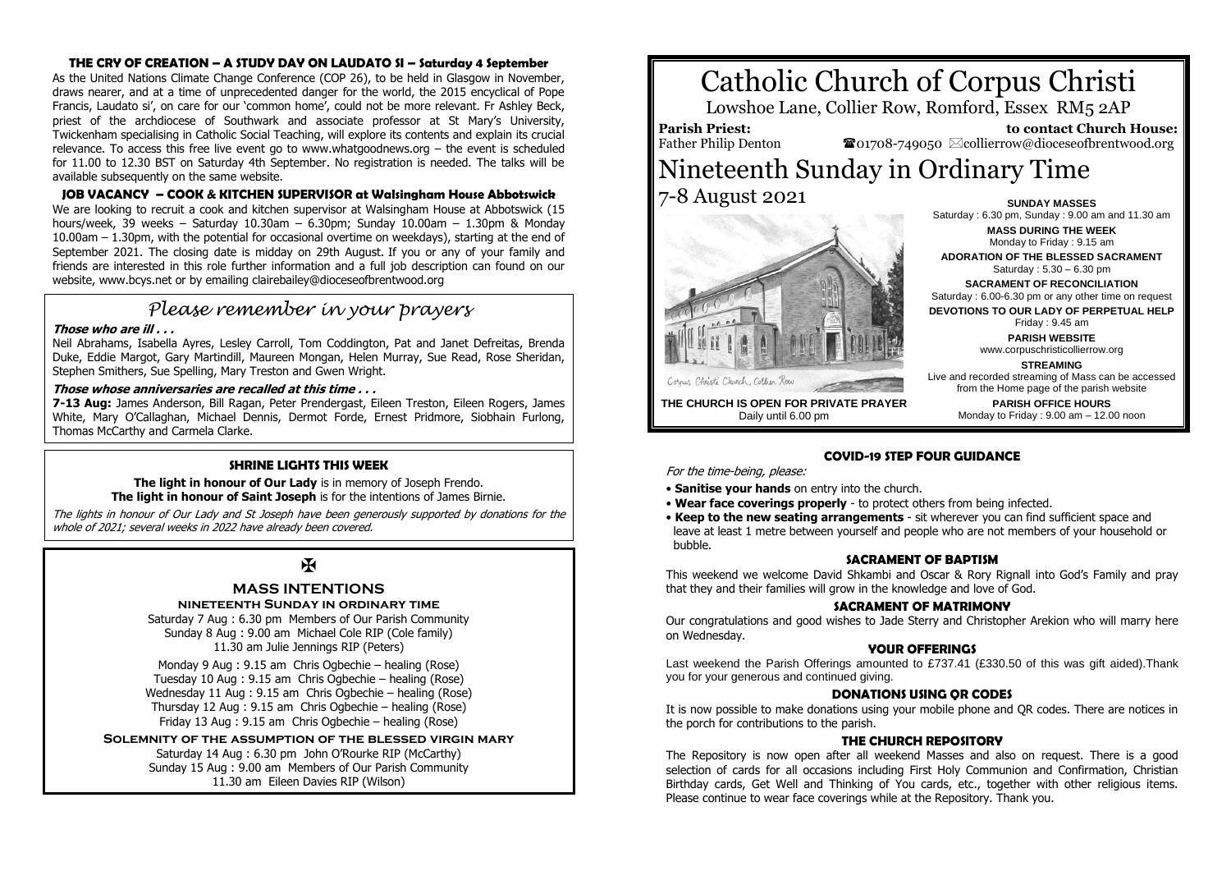#### **THE CRY OF CREATION – A STUDY DAY ON LAUDATO SI – Saturday 4 September**

As the United Nations Climate Change Conference (COP 26), to be held in Glasgow in November, draws nearer, and at a time of unprecedented danger for the world, the 2015 encyclical of Pope Francis, Laudato si', on care for our 'common home', could not be more relevant. Fr Ashley Beck, priest of the archdiocese of Southwark and associate professor at St Mary's University, Twickenham specialising in Catholic Social Teaching, will explore its contents and explain its crucial relevance. To access this free live event go to www.whatgoodnews.org – the event is scheduled for 11.00 to 12.30 BST on Saturday 4th September. No registration is needed. The talks will be available subsequently on the same website.

#### **JOB VACANCY – COOK & KITCHEN SUPERVISOR at Walsingham House Abbotswick**

We are looking to recruit a cook and kitchen supervisor at Walsingham House at Abbotswick (15 hours/week, 39 weeks – Saturday 10.30am – 6.30pm; Sunday 10.00am – 1.30pm & Monday 10.00am – 1.30pm, with the potential for occasional overtime on weekdays), starting at the end of September 2021. The closing date is midday on 29th August. If you or any of your family and friends are interested in this role further information and a full job description can found on our website, www.bcys.net or by emailing clairebailey@dioceseofbrentwood.org

# *Please remember in your prayers*

#### **Those who are ill . . .**

Neil Abrahams, Isabella Ayres, Lesley Carroll, Tom Coddington, Pat and Janet Defreitas, Brenda Duke, Eddie Margot, Gary Martindill, Maureen Mongan, Helen Murray, Sue Read, Rose Sheridan, Stephen Smithers, Sue Spelling, Mary Treston and Gwen Wright.

#### **Those whose anniversaries are recalled at this time . . .**

**7-13 Aug:** James Anderson, Bill Ragan, Peter Prendergast, Eileen Treston, Eileen Rogers, James White, Mary O'Callaghan, Michael Dennis, Dermot Forde, Ernest Pridmore, Siobhain Furlong, Thomas McCarthy and Carmela Clarke.

#### **SHRINE LIGHTS THIS WEEK**

**The light in honour of Our Lady** is in memory of Joseph Frendo. **The light in honour of Saint Joseph** is for the intentions of James Birnie.

The lights in honour of Our Lady and St Joseph have been generously supported by donations for the whole of 2021; several weeks in 2022 have already been covered.

# $\overline{\mathbf{X}}$

### **MASS INTENTIONS**

#### **nineteenth Sunday in ordinary time**

Saturday 7 Aug : 6.30 pm Members of Our Parish Community Sunday 8 Aug : 9.00 am Michael Cole RIP (Cole family) 11.30 am Julie Jennings RIP (Peters)

Monday 9 Aug : 9.15 am Chris Ogbechie – healing (Rose) Tuesday 10 Aug : 9.15 am Chris Ogbechie – healing (Rose) Wednesday 11 Aug : 9.15 am Chris Ogbechie – healing (Rose) Thursday 12 Aug : 9.15 am Chris Ogbechie – healing (Rose) Friday 13 Aug : 9.15 am Chris Ogbechie – healing (Rose)

**Solemnity of the assumption of the blessed virgin mary** Saturday 14 Aug : 6.30 pm John O'Rourke RIP (McCarthy) Sunday 15 Aug : 9.00 am Members of Our Parish Community

11.30 am Eileen Davies RIP (Wilson)

# Catholic Church of Corpus Christi

Lowshoe Lane, Collier Row, Romford, Essex RM5 2AP

**Parish Priest:** Father Philip Denton

 **to contact Church House:**  $\bullet$ 01708-749050  $\boxtimes$ collierrow@dioceseofbrentwood.org

## Nineteenth Sunday in Ordinary Time 7-8 August 2021 **SUNDAY MASSES**



**MASS DURING THE WEEK** Monday to Friday : 9.15 am **ADORATION OF THE BLESSED SACRAMENT** Saturday : 5.30 – 6.30 pm **SACRAMENT OF RECONCILIATION** Saturday : 6.00-6.30 pm or any other time on request **DEVOTIONS TO OUR LADY OF PERPETUAL HELP** Friday : 9.45 am **PARISH WEBSITE** www.corpuschristicollierrow.org **STREAMING** Live and recorded streaming of Mass can be accessed from the Home page of the parish website **PARISH OFFICE HOURS**

Monday to Friday : 9.00 am – 12.00 noon

Saturday : 6.30 pm, Sunday : 9.00 am and 11.30 am

**THE CHURCH IS OPEN FOR PRIVATE PRAYER** Daily until 6.00 pm

# **COVID-19 STEP FOUR GUIDANCE**

For the time-being, please:

- **Sanitise your hands** on entry into the church.
- **Wear face coverings properly** to protect others from being infected.
- **Keep to the new seating arrangements** sit wherever you can find sufficient space and leave at least 1 metre between yourself and people who are not members of your household or bubble.

#### **SACRAMENT OF BAPTISM**

This weekend we welcome David Shkambi and Oscar & Rory Rignall into God's Family and pray that they and their families will grow in the knowledge and love of God.

#### **SACRAMENT OF MATRIMONY**

Our congratulations and good wishes to Jade Sterry and Christopher Arekion who will marry here on Wednesday.

#### **YOUR OFFERINGS**

Last weekend the Parish Offerings amounted to £737.41 (£330.50 of this was gift aided).Thank you for your generous and continued giving.

#### **DONATIONS USING QR CODES**

It is now possible to make donations using your mobile phone and QR codes. There are notices in the porch for contributions to the parish.

#### **THE CHURCH REPOSITORY**

The Repository is now open after all weekend Masses and also on request. There is a good selection of cards for all occasions including First Holy Communion and Confirmation, Christian Birthday cards, Get Well and Thinking of You cards, etc., together with other religious items. Please continue to wear face coverings while at the Repository. Thank you.